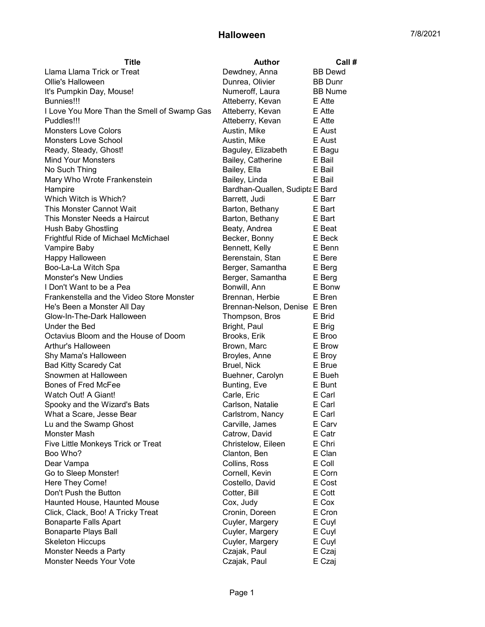| <b>Title</b>                                | <b>Author</b>                   | Call #         |
|---------------------------------------------|---------------------------------|----------------|
| Llama Llama Trick or Treat                  | Dewdney, Anna                   | <b>BB</b> Dewd |
| Ollie's Halloween                           | Dunrea, Olivier                 | <b>BB</b> Dunr |
| It's Pumpkin Day, Mouse!                    | Numeroff, Laura                 | <b>BB</b> Nume |
| Bunnies!!!                                  | Atteberry, Kevan                | E Atte         |
| I Love You More Than the Smell of Swamp Gas | Atteberry, Kevan                | E Atte         |
| Puddles!!!                                  | Atteberry, Kevan                | E Atte         |
| <b>Monsters Love Colors</b>                 | Austin, Mike                    | E Aust         |
| <b>Monsters Love School</b>                 | Austin, Mike                    | E Aust         |
| Ready, Steady, Ghost!                       | Baguley, Elizabeth              | E Bagu         |
| <b>Mind Your Monsters</b>                   | Bailey, Catherine               | E Bail         |
| No Such Thing                               | Bailey, Ella                    | E Bail         |
| Mary Who Wrote Frankenstein                 | Bailey, Linda                   | E Bail         |
| Hampire                                     | Bardhan-Quallen, Sudipta E Bard |                |
| Which Witch is Which?                       | Barrett, Judi                   | E Barr         |
| This Monster Cannot Wait                    | Barton, Bethany                 | E Bart         |
| This Monster Needs a Haircut                | Barton, Bethany                 | E Bart         |
| <b>Hush Baby Ghostling</b>                  | Beaty, Andrea                   | E Beat         |
| Frightful Ride of Michael McMichael         | Becker, Bonny                   | E Beck         |
| Vampire Baby                                | Bennett, Kelly                  | E Benn         |
| Happy Halloween                             | Berenstain, Stan                | E Bere         |
| Boo-La-La Witch Spa                         | Berger, Samantha                | E Berg         |
| Monster's New Undies                        | Berger, Samantha                | E Berg         |
| I Don't Want to be a Pea                    | Bonwill, Ann                    | E Bonw         |
| Frankenstella and the Video Store Monster   | Brennan, Herbie                 | E Bren         |
| He's Been a Monster All Day                 | Brennan-Nelson, Denise E Bren   |                |
| Glow-In-The-Dark Halloween                  | Thompson, Bros                  | E Brid         |
| Under the Bed                               | Bright, Paul                    | E Brig         |
| Octavius Bloom and the House of Doom        | Brooks, Erik                    | E Broo         |
| Arthur's Halloween                          | Brown, Marc                     | E Brow         |
| Shy Mama's Halloween                        | Broyles, Anne                   | E Broy         |
| <b>Bad Kitty Scaredy Cat</b>                | <b>Bruel, Nick</b>              | E Brue         |
| Snowmen at Halloween                        | Buehner, Carolyn                | E Bueh         |
| Bones of Fred McFee                         | Bunting, Eve                    | E Bunt         |
| Watch Out! A Giant!                         | Carle, Eric                     | E Carl         |
| Spooky and the Wizard's Bats                | Carlson, Natalie                | E Carl         |
| What a Scare, Jesse Bear                    | Carlstrom, Nancy                | E Carl         |
| Lu and the Swamp Ghost                      | Carville, James                 | E Carv         |
| Monster Mash                                | Catrow, David                   | E Catr         |
| Five Little Monkeys Trick or Treat          | Christelow, Eileen              | E Chri         |
| Boo Who?                                    | Clanton, Ben                    | E Clan         |
| Dear Vampa                                  | Collins, Ross                   | E Coll         |
| Go to Sleep Monster!                        | Cornell, Kevin                  | E Corn         |
| Here They Come!                             | Costello, David                 | E Cost         |
| Don't Push the Button                       | Cotter, Bill                    | E Cott         |
| Haunted House, Haunted Mouse                | Cox, Judy                       | E Cox          |
| Click, Clack, Boo! A Tricky Treat           | Cronin, Doreen                  | E Cron         |
| <b>Bonaparte Falls Apart</b>                | Cuyler, Margery                 | E Cuyl         |
| <b>Bonaparte Plays Ball</b>                 | Cuyler, Margery                 | E Cuyl         |
| <b>Skeleton Hiccups</b>                     | Cuyler, Margery                 | E Cuyl         |
| Monster Needs a Party                       | Czajak, Paul                    | E Czaj         |
| Monster Needs Your Vote                     | Czajak, Paul                    | E Czaj         |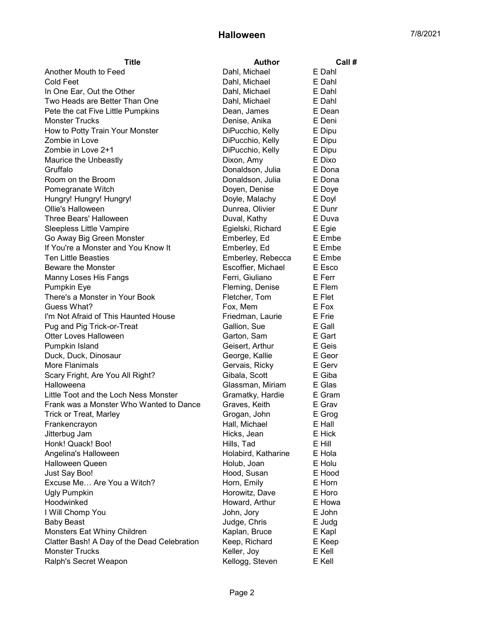| <b>Title</b>                                | <b>Author</b>       | Call # |
|---------------------------------------------|---------------------|--------|
| Another Mouth to Feed                       | Dahl, Michael       | E Dahl |
| <b>Cold Feet</b>                            | Dahl, Michael       | E Dahl |
| In One Ear, Out the Other                   | Dahl, Michael       | E Dahl |
| Two Heads are Better Than One               | Dahl, Michael       | E Dahl |
| Pete the cat Five Little Pumpkins           | Dean, James         | E Dean |
| <b>Monster Trucks</b>                       | Denise, Anika       | E Deni |
| How to Potty Train Your Monster             | DiPucchio, Kelly    | E Dipu |
| Zombie in Love                              | DiPucchio, Kelly    | E Dipu |
| Zombie in Love 2+1                          | DiPucchio, Kelly    | E Dipu |
| Maurice the Unbeastly                       | Dixon, Amy          | E Dixo |
| Gruffalo                                    | Donaldson, Julia    | E Dona |
| Room on the Broom                           | Donaldson, Julia    | E Dona |
| Pomegranate Witch                           | Doyen, Denise       | E Doye |
| Hungry! Hungry! Hungry!                     | Doyle, Malachy      | E Doyl |
| Ollie's Halloween                           | Dunrea, Olivier     | E Dunr |
| Three Bears' Halloween                      | Duval, Kathy        | E Duva |
| Sleepless Little Vampire                    | Egielski, Richard   | E Egie |
| Go Away Big Green Monster                   | Emberley, Ed        | E Embe |
| If You're a Monster and You Know It         | Emberley, Ed        | E Embe |
| <b>Ten Little Beasties</b>                  | Emberley, Rebecca   | E Embe |
| <b>Beware the Monster</b>                   | Escoffier, Michael  | E Esco |
| Manny Loses His Fangs                       | Ferri, Giuliano     | E Ferr |
| <b>Pumpkin Eye</b>                          | Fleming, Denise     | E Flem |
| There's a Monster in Your Book              | Fletcher, Tom       | E Flet |
| Guess What?                                 | Fox, Mem            | E Fox  |
| I'm Not Afraid of This Haunted House        | Friedman, Laurie    | E Frie |
| Pug and Pig Trick-or-Treat                  | Gallion, Sue        | E Gall |
| Otter Loves Halloween                       | Garton, Sam         | E Gart |
| Pumpkin Island                              | Geisert, Arthur     | E Geis |
| Duck, Duck, Dinosaur                        | George, Kallie      | E Geor |
| More Flanimals                              | Gervais, Ricky      | E Gerv |
| Scary Fright, Are You All Right?            | Gibala, Scott       | E Giba |
| Halloweena                                  | Glassman, Miriam    | E Glas |
| Little Toot and the Loch Ness Monster       | Gramatky, Hardie    | E Gram |
| Frank was a Monster Who Wanted to Dance     | Graves, Keith       | E Grav |
| Trick or Treat, Marley                      | Grogan, John        | E Grog |
| Frankencrayon                               | Hall, Michael       | E Hall |
| Jitterbug Jam                               | Hicks, Jean         | E Hick |
| Honk! Quack! Boo!                           | Hills, Tad          | E Hill |
| Angelina's Halloween                        | Holabird, Katharine | E Hola |
| <b>Halloween Queen</b>                      | Holub, Joan         | E Holu |
| Just Say Boo!                               | Hood, Susan         | E Hood |
| Excuse Me Are You a Witch?                  | Horn, Emily         | E Horn |
| <b>Ugly Pumpkin</b>                         | Horowitz, Dave      | E Horo |
| Hoodwinked                                  | Howard, Arthur      | E Howa |
| I Will Chomp You                            | John, Jory          | E John |
| <b>Baby Beast</b>                           | Judge, Chris        | E Judg |
| Monsters Eat Whiny Children                 | Kaplan, Bruce       | E Kapl |
| Clatter Bash! A Day of the Dead Celebration | Keep, Richard       | E Keep |
| <b>Monster Trucks</b>                       | Keller, Joy         | E Kell |
| Ralph's Secret Weapon                       | Kellogg, Steven     | E Kell |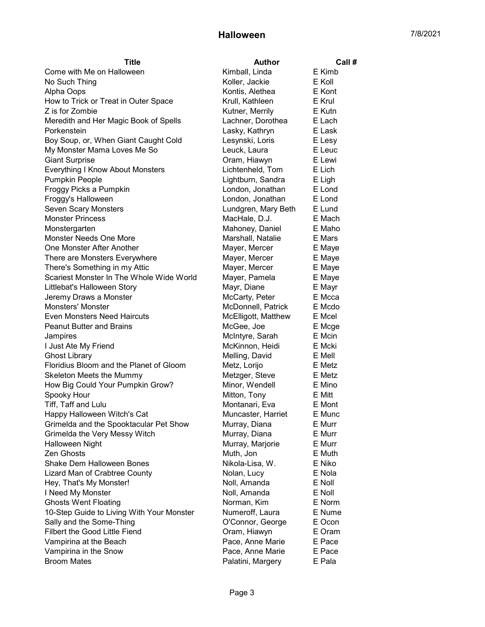| Title                                     | <b>Author</b>       | Call#  |
|-------------------------------------------|---------------------|--------|
| Come with Me on Halloween                 | Kimball, Linda      | E Kimb |
| No Such Thing                             | Koller, Jackie      | E Koll |
| Alpha Oops                                | Kontis, Alethea     | E Kont |
| How to Trick or Treat in Outer Space      | Krull, Kathleen     | E Krul |
| Z is for Zombie                           | Kutner, Merrily     | E Kutn |
| Meredith and Her Magic Book of Spells     | Lachner, Dorothea   | E Lach |
| Porkenstein                               | Lasky, Kathryn      | E Lask |
| Boy Soup, or, When Giant Caught Cold      | Lesynski, Loris     | E Lesy |
| My Monster Mama Loves Me So               | Leuck, Laura        | E Leuc |
| <b>Giant Surprise</b>                     | Oram, Hiawyn        | E Lewi |
| <b>Everything I Know About Monsters</b>   | Lichtenheld, Tom    | E Lich |
| <b>Pumpkin People</b>                     | Lightburn, Sandra   | E Ligh |
| Froggy Picks a Pumpkin                    | London, Jonathan    | E Lond |
| Froggy's Halloween                        | London, Jonathan    | E Lond |
| Seven Scary Monsters                      | Lundgren, Mary Beth | E Lund |
| <b>Monster Princess</b>                   | MacHale, D.J.       | E Mach |
| Monstergarten                             | Mahoney, Daniel     | E Maho |
| <b>Monster Needs One More</b>             | Marshall, Natalie   | E Mars |
| One Monster After Another                 | Mayer, Mercer       | E Maye |
| There are Monsters Everywhere             | Mayer, Mercer       | E Maye |
| There's Something in my Attic             | Mayer, Mercer       | E Maye |
| Scariest Monster In The Whole Wide World  | Mayer, Pamela       | E Maye |
| Littlebat's Halloween Story               | Mayr, Diane         | E Mayr |
| Jeremy Draws a Monster                    | McCarty, Peter      | E Mcca |
| <b>Monsters' Monster</b>                  | McDonnell, Patrick  | E Mcdo |
| Even Monsters Need Haircuts               | McElligott, Matthew | E Mcel |
| <b>Peanut Butter and Brains</b>           | McGee, Joe          | E Mcge |
| Jampires                                  | McIntyre, Sarah     | E Mcin |
| I Just Ate My Friend                      | McKinnon, Heidi     | E Mcki |
| <b>Ghost Library</b>                      | Melling, David      | E Mell |
| Floridius Bloom and the Planet of Gloom   | Metz, Lorijo        | E Metz |
| Skeleton Meets the Mummy                  | Metzger, Steve      | E Metz |
| How Big Could Your Pumpkin Grow?          | Minor, Wendell      | E Mino |
| Spooky Hour                               | Mitton, Tony        | E Mitt |
| Tiff, Taff and Lulu                       | Montanari, Eva      | E Mont |
| Happy Halloween Witch's Cat               | Muncaster, Harriet  | E Munc |
| Grimelda and the Spooktacular Pet Show    | Murray, Diana       | E Murr |
| Grimelda the Very Messy Witch             | Murray, Diana       | E Murr |
| Halloween Night                           | Murray, Marjorie    | E Murr |
| Zen Ghosts                                | Muth, Jon           | E Muth |
| Shake Dem Halloween Bones                 | Nikola-Lisa, W.     | E Niko |
| Lizard Man of Crabtree County             | Nolan, Lucy         | E Nola |
| Hey, That's My Monster!                   | Noll, Amanda        | E Noll |
| I Need My Monster                         | Noll, Amanda        | E Noll |
| <b>Ghosts Went Floating</b>               | Norman, Kim         | E Norm |
| 10-Step Guide to Living With Your Monster | Numeroff, Laura     | E Nume |
| Sally and the Some-Thing                  | O'Connor, George    | E Ocon |
| Filbert the Good Little Fiend             | Oram, Hiawyn        | E Oram |
| Vampirina at the Beach                    | Pace, Anne Marie    | E Pace |
| Vampirina in the Snow                     | Pace, Anne Marie    | E Pace |
| <b>Broom Mates</b>                        | Palatini, Margery   | E Pala |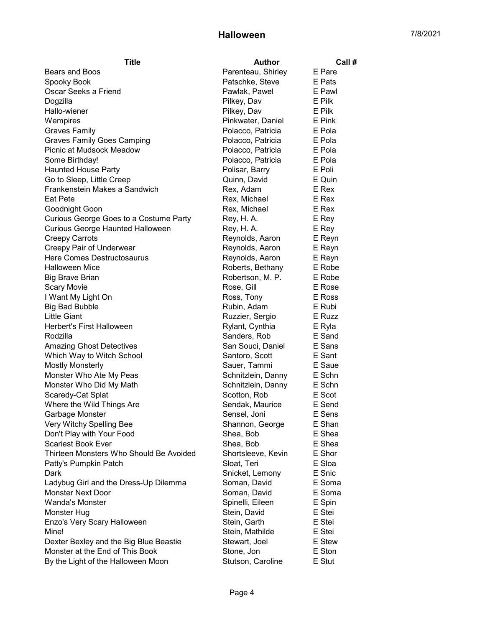| Title                                   | <b>Author</b>      | Call#  |
|-----------------------------------------|--------------------|--------|
| Bears and Boos                          | Parenteau, Shirley | E Pare |
| Spooky Book                             | Patschke, Steve    | E Pats |
| Oscar Seeks a Friend                    | Pawlak, Pawel      | E Pawl |
| Dogzilla                                | Pilkey, Dav        | E Pilk |
| Hallo-wiener                            | Pilkey, Dav        | E Pilk |
| Wempires                                | Pinkwater, Daniel  | E Pink |
| <b>Graves Family</b>                    | Polacco, Patricia  | E Pola |
| <b>Graves Family Goes Camping</b>       | Polacco, Patricia  | E Pola |
| Picnic at Mudsock Meadow                | Polacco, Patricia  | E Pola |
| Some Birthday!                          | Polacco, Patricia  | E Pola |
| <b>Haunted House Party</b>              | Polisar, Barry     | E Poli |
| Go to Sleep, Little Creep               | Quinn, David       | E Quin |
| Frankenstein Makes a Sandwich           | Rex, Adam          | E Rex  |
| <b>Eat Pete</b>                         | Rex, Michael       | E Rex  |
| Goodnight Goon                          | Rex, Michael       | E Rex  |
| Curious George Goes to a Costume Party  | Rey, H. A.         | E Rey  |
| Curious George Haunted Halloween        | Rey, H. A.         | E Rey  |
| <b>Creepy Carrots</b>                   | Reynolds, Aaron    | E Reyn |
| Creepy Pair of Underwear                | Reynolds, Aaron    | E Reyn |
| Here Comes Destructosaurus              | Reynolds, Aaron    | E Reyn |
| <b>Halloween Mice</b>                   | Roberts, Bethany   | E Robe |
| Big Brave Brian                         | Robertson, M. P.   | E Robe |
| <b>Scary Movie</b>                      | Rose, Gill         | E Rose |
| I Want My Light On                      | Ross, Tony         | E Ross |
| <b>Big Bad Bubble</b>                   | Rubin, Adam        | E Rubi |
| <b>Little Giant</b>                     | Ruzzier, Sergio    | E Ruzz |
| <b>Herbert's First Halloween</b>        | Rylant, Cynthia    | E Ryla |
| Rodzilla                                | Sanders, Rob       | E Sand |
| <b>Amazing Ghost Detectives</b>         | San Souci, Daniel  | E Sans |
| Which Way to Witch School               | Santoro, Scott     | E Sant |
| <b>Mostly Monsterly</b>                 | Sauer, Tammi       | E Saue |
| Monster Who Ate My Peas                 | Schnitzlein, Danny | E Schn |
| Monster Who Did My Math                 | Schnitzlein, Danny | E Schn |
| Scaredy-Cat Splat                       | Scotton, Rob       | E Scot |
| Where the Wild Things Are               | Sendak, Maurice    | E Send |
| Garbage Monster                         | Sensel, Joni       | E Sens |
| Very Witchy Spelling Bee                | Shannon, George    | E Shan |
| Don't Play with Your Food               | Shea, Bob          | E Shea |
| <b>Scariest Book Ever</b>               | Shea, Bob          | E Shea |
| Thirteen Monsters Who Should Be Avoided | Shortsleeve, Kevin | E Shor |
| Patty's Pumpkin Patch                   | Sloat, Teri        | E Sloa |
| Dark                                    | Snicket, Lemony    | E Snic |
| Ladybug Girl and the Dress-Up Dilemma   | Soman, David       | E Soma |
| <b>Monster Next Door</b>                | Soman, David       | E Soma |
| <b>Wanda's Monster</b>                  | Spinelli, Eileen   | E Spin |
| Monster Hug                             | Stein, David       | E Stei |
| Enzo's Very Scary Halloween             | Stein, Garth       | E Stei |
| Mine!                                   | Stein, Mathilde    | E Stei |
| Dexter Bexley and the Big Blue Beastie  | Stewart, Joel      | E Stew |
| Monster at the End of This Book         | Stone, Jon         | E Ston |
|                                         |                    |        |
| By the Light of the Halloween Moon      | Stutson, Caroline  | E Stut |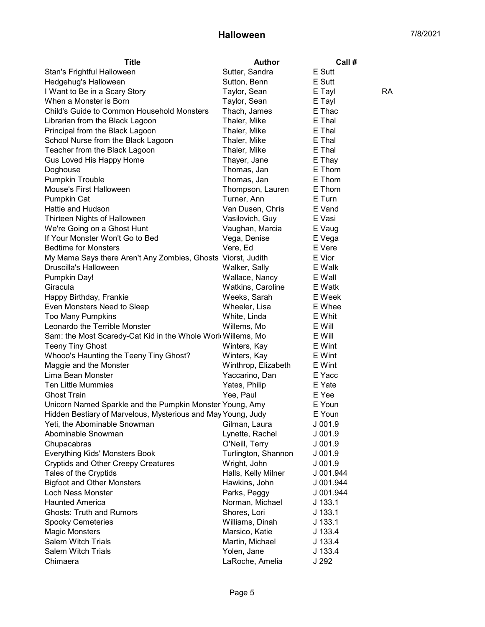| <b>Title</b>                                                 | <b>Author</b>                 | Call #                 |
|--------------------------------------------------------------|-------------------------------|------------------------|
| Stan's Frightful Halloween                                   | Sutter, Sandra                | E Sutt                 |
| Hedgehug's Halloween                                         | Sutton, Benn                  | E Sutt                 |
| I Want to Be in a Scary Story                                | Taylor, Sean                  | E Tayl<br>RA           |
| When a Monster is Born                                       | Taylor, Sean                  | E Tayl                 |
| Child's Guide to Common Household Monsters                   | Thach, James                  | E Thac                 |
| Librarian from the Black Lagoon                              | Thaler, Mike                  | E Thal                 |
| Principal from the Black Lagoon                              | Thaler, Mike                  | E Thal                 |
| School Nurse from the Black Lagoon                           | Thaler, Mike                  | E Thal                 |
| Teacher from the Black Lagoon                                | Thaler, Mike                  | E Thal                 |
| Gus Loved His Happy Home                                     | Thayer, Jane                  | E Thay                 |
| Doghouse                                                     | Thomas, Jan                   | E Thom                 |
| <b>Pumpkin Trouble</b>                                       | Thomas, Jan                   | E Thom                 |
| Mouse's First Halloween                                      | Thompson, Lauren              | E Thom                 |
| Pumpkin Cat                                                  | Turner, Ann                   | E Turn                 |
| Hattie and Hudson                                            | Van Dusen, Chris              | E Vand                 |
| Thirteen Nights of Halloween                                 | Vasilovich, Guy               | E Vasi                 |
| We're Going on a Ghost Hunt                                  | Vaughan, Marcia               | E Vaug                 |
| If Your Monster Won't Go to Bed                              | Vega, Denise                  | E Vega                 |
| <b>Bedtime for Monsters</b>                                  | Vere, Ed                      | E Vere                 |
| My Mama Says there Aren't Any Zombies, Ghosts Viorst, Judith |                               | E Vior                 |
| Druscilla's Halloween                                        | Walker, Sally                 | E Walk                 |
| Pumpkin Day!                                                 | Wallace, Nancy                | E Wall                 |
| Giracula                                                     | Watkins, Caroline             | E Watk                 |
| Happy Birthday, Frankie                                      | Weeks, Sarah                  | E Week                 |
| Even Monsters Need to Sleep                                  | Wheeler, Lisa                 | E Whee                 |
| <b>Too Many Pumpkins</b>                                     | White, Linda                  | E Whit                 |
| Leonardo the Terrible Monster                                | Willems, Mo                   | E Will                 |
| Sam: the Most Scaredy-Cat Kid in the Whole Work Willems, Mo  |                               | E Will                 |
| <b>Teeny Tiny Ghost</b>                                      | Winters, Kay                  | E Wint                 |
| Whooo's Haunting the Teeny Tiny Ghost?                       | Winters, Kay                  | E Wint                 |
| Maggie and the Monster                                       | Winthrop, Elizabeth           | E Wint                 |
| Lima Bean Monster                                            | Yaccarino, Dan                | E Yacc                 |
| <b>Ten Little Mummies</b>                                    | Yates, Philip                 | E Yate                 |
| <b>Ghost Train</b>                                           | Yee, Paul                     | E Yee                  |
| Unicorn Named Sparkle and the Pumpkin Monster Young, Amy     |                               | E Youn                 |
| Hidden Bestiary of Marvelous, Mysterious and May Young, Judy |                               | E Youn                 |
| Yeti, the Abominable Snowman                                 | Gilman, Laura                 | $J$ 001.9              |
| Abominable Snowman                                           | Lynette, Rachel               | $J$ 001.9              |
| Chupacabras                                                  | O'Neill, Terry                | J 001.9                |
| Everything Kids' Monsters Book                               | Turlington, Shannon           | J 001.9                |
| <b>Cryptids and Other Creepy Creatures</b>                   | Wright, John                  | $J$ 001.9              |
| Tales of the Cryptids                                        | Halls, Kelly Milner           | J 001.944              |
| <b>Bigfoot and Other Monsters</b><br>Loch Ness Monster       | Hawkins, John<br>Parks, Peggy | J 001.944<br>J 001.944 |
| <b>Haunted America</b>                                       | Norman, Michael               | $J$ 133.1              |
| <b>Ghosts: Truth and Rumors</b>                              | Shores, Lori                  | J 133.1                |
| <b>Spooky Cemeteries</b>                                     | Williams, Dinah               | $J$ 133.1              |
| <b>Magic Monsters</b>                                        | Marsico, Katie                | J 133.4                |
| Salem Witch Trials                                           | Martin, Michael               | J 133.4                |
| <b>Salem Witch Trials</b>                                    | Yolen, Jane                   | J 133.4                |
| Chimaera                                                     | LaRoche, Amelia               | J 292                  |
|                                                              |                               |                        |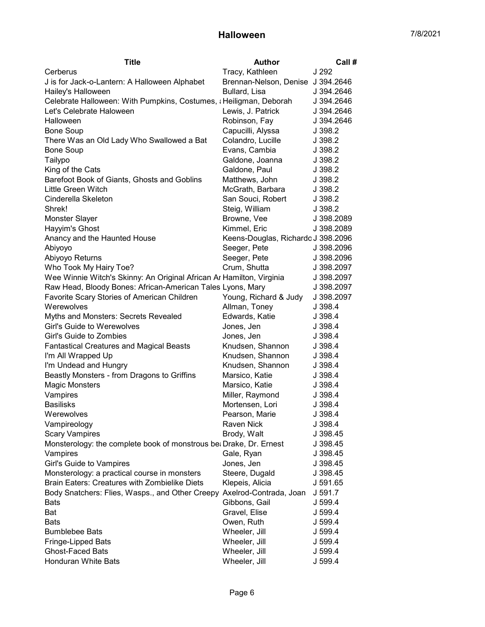| <b>Title</b>                                                           | <b>Author</b>                      | Call#      |
|------------------------------------------------------------------------|------------------------------------|------------|
| Cerberus                                                               | Tracy, Kathleen                    | J 292      |
| J is for Jack-o-Lantern: A Halloween Alphabet                          | Brennan-Nelson, Denise J 394.2646  |            |
| Hailey's Halloween                                                     | Bullard, Lisa                      | J 394.2646 |
| Celebrate Halloween: With Pumpkins, Costumes, ¿Heiligman, Deborah      |                                    | J 394.2646 |
| Let's Celebrate Haloween                                               | Lewis, J. Patrick                  | J 394.2646 |
| Halloween                                                              | Robinson, Fay                      | J 394.2646 |
| <b>Bone Soup</b>                                                       | Capucilli, Alyssa                  | J 398.2    |
| There Was an Old Lady Who Swallowed a Bat                              | Colandro, Lucille                  | J 398.2    |
| <b>Bone Soup</b>                                                       | Evans, Cambia                      | J 398.2    |
| Tailypo                                                                | Galdone, Joanna                    | J 398.2    |
| King of the Cats                                                       | Galdone, Paul                      | J 398.2    |
| Barefoot Book of Giants, Ghosts and Goblins                            | Matthews, John                     | J 398.2    |
| Little Green Witch                                                     | McGrath, Barbara                   | J 398.2    |
| Cinderella Skeleton                                                    | San Souci, Robert                  | J 398.2    |
| Shrek!                                                                 | Steig, William                     | J 398.2    |
| <b>Monster Slayer</b>                                                  | Browne, Vee                        | J 398.2089 |
| Hayyim's Ghost                                                         | Kimmel, Eric                       | J 398.2089 |
| Anancy and the Haunted House                                           | Keens-Douglas, Richardo J 398.2096 |            |
| Abiyoyo                                                                | Seeger, Pete                       | J 398.2096 |
| Abiyoyo Returns                                                        | Seeger, Pete                       | J 398.2096 |
| Who Took My Hairy Toe?                                                 | Crum, Shutta                       | J 398.2097 |
| Wee Winnie Witch's Skinny: An Original African Ar Hamilton, Virginia   |                                    | J 398.2097 |
| Raw Head, Bloody Bones: African-American Tales Lyons, Mary             |                                    | J 398.2097 |
| Favorite Scary Stories of American Children                            | Young, Richard & Judy              | J 398.2097 |
| Werewolves                                                             | Allman, Toney                      | J 398.4    |
| Myths and Monsters: Secrets Revealed                                   | Edwards, Katie                     | J 398.4    |
| Girl's Guide to Werewolves                                             | Jones, Jen                         | J 398.4    |
| Girl's Guide to Zombies                                                | Jones, Jen                         | J 398.4    |
| <b>Fantastical Creatures and Magical Beasts</b>                        | Knudsen, Shannon                   | J 398.4    |
| I'm All Wrapped Up                                                     | Knudsen, Shannon                   | J 398.4    |
| I'm Undead and Hungry                                                  | Knudsen, Shannon                   | J 398.4    |
| Beastly Monsters - from Dragons to Griffins                            | Marsico, Katie                     | J 398.4    |
| <b>Magic Monsters</b>                                                  | Marsico, Katie                     | J 398.4    |
| Vampires                                                               | Miller, Raymond                    | J 398.4    |
| <b>Basilisks</b>                                                       | Mortensen, Lori                    | J 398.4    |
| Werewolves                                                             | Pearson, Marie                     | J 398.4    |
| Vampireology                                                           | Raven Nick                         | J 398.4    |
| <b>Scary Vampires</b>                                                  | Brody, Walt                        | J 398.45   |
| Monsterology: the complete book of monstrous be: Drake, Dr. Ernest     |                                    | J 398.45   |
| Vampires                                                               | Gale, Ryan                         | J 398.45   |
| Girl's Guide to Vampires                                               | Jones, Jen                         | J 398.45   |
| Monsterology: a practical course in monsters                           | Steere, Dugald                     | J 398.45   |
| Brain Eaters: Creatures with Zombielike Diets                          | Klepeis, Alicia                    | J 591.65   |
| Body Snatchers: Flies, Wasps., and Other Creepy Axelrod-Contrada, Joan |                                    | J 591.7    |
| <b>Bats</b>                                                            | Gibbons, Gail                      | J 599.4    |
| Bat                                                                    | Gravel, Elise                      | J 599.4    |
| <b>Bats</b>                                                            | Owen, Ruth                         | J 599.4    |
| <b>Bumblebee Bats</b>                                                  | Wheeler, Jill                      | J 599.4    |
| Fringe-Lipped Bats                                                     | Wheeler, Jill                      | J 599.4    |
| <b>Ghost-Faced Bats</b>                                                | Wheeler, Jill                      | J 599.4    |
| Honduran White Bats                                                    | Wheeler, Jill                      | J 599.4    |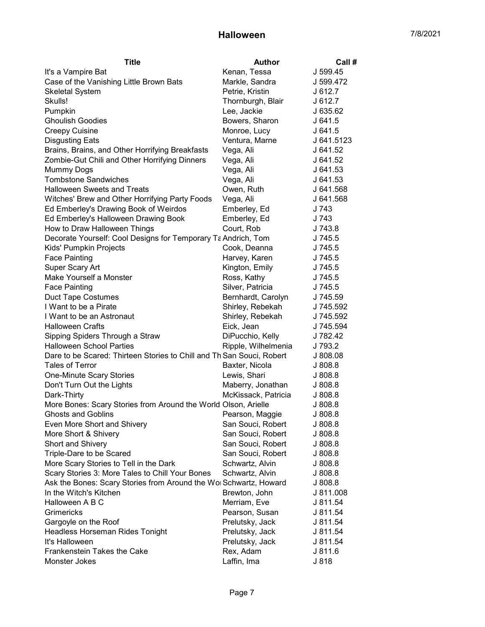| Title                                                                 | <b>Author</b>       | Call #     |
|-----------------------------------------------------------------------|---------------------|------------|
| It's a Vampire Bat                                                    | Kenan, Tessa        | J 599.45   |
| Case of the Vanishing Little Brown Bats                               | Markle, Sandra      | J 599.472  |
| <b>Skeletal System</b>                                                | Petrie, Kristin     | J 612.7    |
| Skulls!                                                               | Thornburgh, Blair   | J 612.7    |
| Pumpkin                                                               | Lee, Jackie         | J 635.62   |
| <b>Ghoulish Goodies</b>                                               | Bowers, Sharon      | J 641.5    |
| <b>Creepy Cuisine</b>                                                 | Monroe, Lucy        | J641.5     |
| <b>Disgusting Eats</b>                                                | Ventura, Marne      | J 641.5123 |
| Brains, Brains, and Other Horrifying Breakfasts                       | Vega, Ali           | J 641.52   |
| Zombie-Gut Chili and Other Horrifying Dinners                         | Vega, Ali           | J 641.52   |
| Mummy Dogs                                                            | Vega, Ali           | J 641.53   |
| <b>Tombstone Sandwiches</b>                                           | Vega, Ali           | J 641.53   |
| <b>Halloween Sweets and Treats</b>                                    | Owen, Ruth          | J 641.568  |
| Witches' Brew and Other Horrifying Party Foods                        | Vega, Ali           | J 641.568  |
| Ed Emberley's Drawing Book of Weirdos                                 | Emberley, Ed        | J 743      |
| Ed Emberley's Halloween Drawing Book                                  | Emberley, Ed        | J 743      |
| How to Draw Halloween Things                                          | Court, Rob          | J 743.8    |
| Decorate Yourself: Cool Designs for Temporary Ta Andrich, Tom         |                     | J 745.5    |
| Kids' Pumpkin Projects                                                | Cook, Deanna        | J 745.5    |
| <b>Face Painting</b>                                                  | Harvey, Karen       | J 745.5    |
| Super Scary Art                                                       | Kington, Emily      | J 745.5    |
| Make Yourself a Monster                                               | Ross, Kathy         | J 745.5    |
| <b>Face Painting</b>                                                  | Silver, Patricia    | J 745.5    |
| <b>Duct Tape Costumes</b>                                             | Bernhardt, Carolyn  | J 745.59   |
| I Want to be a Pirate                                                 | Shirley, Rebekah    | J 745.592  |
| I Want to be an Astronaut                                             | Shirley, Rebekah    | J 745.592  |
| <b>Halloween Crafts</b>                                               | Eick, Jean          | J 745.594  |
| Sipping Spiders Through a Straw                                       | DiPucchio, Kelly    | J 782.42   |
| <b>Halloween School Parties</b>                                       | Ripple, Wilhelmenia | J 793.2    |
| Dare to be Scared: Thirteen Stories to Chill and Th San Souci, Robert |                     | J 808.08   |
| <b>Tales of Terror</b>                                                | Baxter, Nicola      | J 808.8    |
| <b>One-Minute Scary Stories</b>                                       | Lewis, Shari        | J 808.8    |
| Don't Turn Out the Lights                                             | Maberry, Jonathan   | J 808.8    |
| Dark-Thirty                                                           | McKissack, Patricia | J 808.8    |
| More Bones: Scary Stories from Around the World Olson, Arielle        |                     | J 808.8    |
| <b>Ghosts and Goblins</b>                                             | Pearson, Maggie     | J 808.8    |
| Even More Short and Shivery                                           | San Souci, Robert   | J808.8     |
| More Short & Shivery                                                  | San Souci, Robert   | J 808.8    |
| Short and Shivery                                                     | San Souci, Robert   | J808.8     |
| Triple-Dare to be Scared                                              | San Souci, Robert   | J 808.8    |
| More Scary Stories to Tell in the Dark                                | Schwartz, Alvin     | J 808.8    |
| Scary Stories 3: More Tales to Chill Your Bones                       | Schwartz, Alvin     | J 808.8    |
| Ask the Bones: Scary Stories from Around the Wol Schwartz, Howard     |                     | J 808.8    |
| In the Witch's Kitchen                                                | Brewton, John       | J 811.008  |
| Halloween A B C                                                       | Merriam, Eve        | J 811.54   |
| Grimericks                                                            | Pearson, Susan      | J 811.54   |
| Gargoyle on the Roof                                                  | Prelutsky, Jack     | J 811.54   |
| Headless Horseman Rides Tonight                                       | Prelutsky, Jack     | J 811.54   |
| It's Halloween                                                        | Prelutsky, Jack     | J 811.54   |
| Frankenstein Takes the Cake                                           | Rex, Adam           | J 811.6    |
| Monster Jokes                                                         | Laffin, Ima         | J 818      |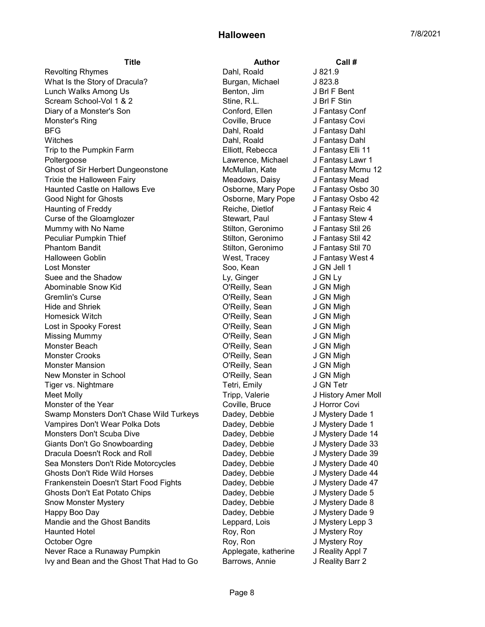Revolting Rhymes **Dahl**, Roald **J** 821.9 What Is the Story of Dracula? Burgan, Michael J 823.8 Lunch Walks Among Us **Benton, Jim J Bri F Bent** Scream School-Vol 1 & 2 Stine, R.L. J Brl F Stin Diary of a Monster's Son Conford, Ellen J Fantasy Conford, Ellen Monster's Ring **Coville, Bruce** J Fantasy Covil BFG Dahl, Roald J Fantasy Dahl Witches **Dahl, Roald** J Fantasy Dahl Trip to the Pumpkin Farm Elliott, Rebecca J Fantasy Elli 11 Poltergoose Lawrence, Michael J Fantasy Lawr 1 Ghost of Sir Herbert Dungeonstone McMullan, Kate J Fantasy Mcmu 12 Trixie the Halloween Fairy **Meadows, Daisy Communist Communist Communist** Meadows, Daisy J Fantasy Mead Haunted Castle on Hallows Eve Osborne, Mary Pope J Fantasy Osbo 30 Good Night for Ghosts Osborne, Mary Pope J Fantasy Osbo 42 Haunting of Freddy **Reiche, Dietlof** J Fantasy Reic 4 Curse of the Gloamglozer Stewart, Paul J Fantasy Stew 4 Mummy with No Name The Stilton, Geronimo J Fantasy Stil 26 Peculiar Pumpkin Thief Stilton, Geronimo J Fantasy Stil 42 Phantom Bandit **Network** Stilton, Geronimo J Fantasy Stil 70 Halloween Goblin West, Tracey J Fantasy West 4 Lost Monster Soo, Kean J GN Jell 1 Suee and the Shadow **Ly, Ginger** J GN Ly Abominable Snow Kid **Come and Communist Communist Communist Communist Communist Communist Communist Communist Communist Communist Communist Communist Communist Communist Communist Communist Communist Communist Communist Co** Gremlin's Curse **Curse Contact Contact Contact Curse** O'Reilly, Sean J GN Migh Hide and Shriek O'Reilly, Sean J GN Migh Homesick Witch O'Reilly, Sean J GN Migh Lost in Spooky Forest **Community** C'Reilly, Sean Missing Mummy O'Reilly, Sean J GN Migh Monster Beach O'Reilly, Sean J GN Migh Monster Crooks O'Reilly, Sean J GN Migh Monster Mansion **Notice Struck Community** C'Reilly, Sean **J** GN Migh New Monster in School **New York Collection** O'Reilly, Sean J GN Migh Tiger vs. Nightmare Tetri, Emily Tetri, Emily Tetri, Emily Meet Molly Tripp, Valerie J History Amer Moll Monster of the Year **Coville, Bruce** J Horror Covi Swamp Monsters Don't Chase Wild Turkeys Dadey, Debbie J Mystery Dade 1 Vampires Don't Wear Polka Dots Dadey, Debbie J Mystery Dade 1 Monsters Don't Scuba Dive **Date Scuba Constant Constant Constant Constant Constant Constant Constant Constant Constant Constant Constant Constant Point Constant Constant Point Constant Constant Point Constant Point Constan** Giants Don't Go Snowboarding The Readey, Debbie Julystery Dade 33 Dracula Doesn't Rock and Roll **Datell Communist Concernent Concernent** Dadey, Debbie J Mystery Dade 39 Sea Monsters Don't Ride Motorcycles **Dadey, Debbie James And Australian** J Mystery Dade 40 Ghosts Don't Ride Wild Horses **Dadey, Debbie** J Mystery Dade 44 Frankenstein Doesn't Start Food Fights Dadey, Debbie J Mystery Dade 47 Ghosts Don't Eat Potato Chips **Disk Chips** Dadey, Debbie J Mystery Dade 5 Snow Monster Mystery **Disk and Strong and Show Monster Mystery** Dade 8 Happy Boo Day Dadey, Debbie J Mystery Dade 9 Mandie and the Ghost Bandits **Leppard, Lois** Leppard, Lois J Mystery Lepp 3 Haunted Hotel **Roy, Ron** General According Roy, Ron Baunted Hotel Boy, Roy, Ron According Service According Service According Roy, Ron Service According Service According Service According Service According Service Accordi October Ogre **Roy, Ron** J Mystery Roy Never Race a Runaway Pumpkin Allem Applegate, katherine J Reality Appl 7 Ivy and Bean and the Ghost That Had to Go Barrows, Annie J Reality Barr 2

Title **Author** Call #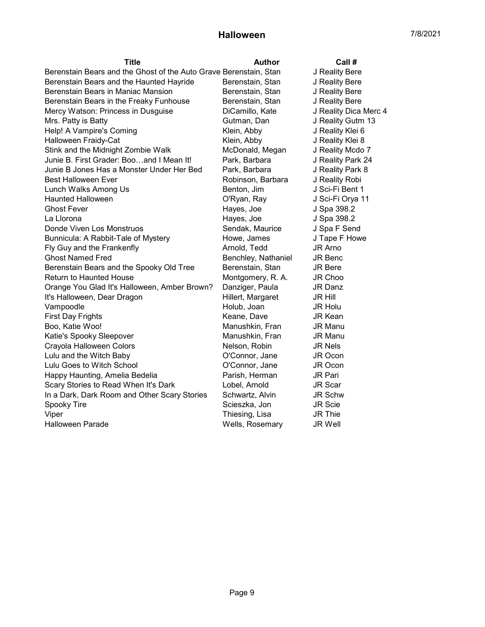| Title                                                             | Author              | Call #                |
|-------------------------------------------------------------------|---------------------|-----------------------|
| Berenstain Bears and the Ghost of the Auto Grave Berenstain, Stan |                     | J Reality Bere        |
| Berenstain Bears and the Haunted Hayride                          | Berenstain, Stan    | J Reality Bere        |
| Berenstain Bears in Maniac Mansion                                | Berenstain, Stan    | J Reality Bere        |
| Berenstain Bears in the Freaky Funhouse                           | Berenstain, Stan    | J Reality Bere        |
| Mercy Watson: Princess in Dusguise                                | DiCamillo, Kate     | J Reality Dica Merc 4 |
| Mrs. Patty is Batty                                               | Gutman, Dan         | J Reality Gutm 13     |
| Help! A Vampire's Coming                                          | Klein, Abby         | J Reality Klei 6      |
| Halloween Fraidy-Cat                                              | Klein, Abby         | J Reality Klei 8      |
| Stink and the Midnight Zombie Walk                                | McDonald, Megan     | J Reality Mcdo 7      |
| Junie B. First Grader: Booand I Mean It!                          | Park, Barbara       | J Reality Park 24     |
| Junie B Jones Has a Monster Under Her Bed                         | Park, Barbara       | J Reality Park 8      |
| <b>Best Halloween Ever</b>                                        | Robinson, Barbara   | J Reality Robi        |
| Lunch Walks Among Us                                              | Benton, Jim         | J Sci-Fi Bent 1       |
| <b>Haunted Halloween</b>                                          | O'Ryan, Ray         | J Sci-Fi Orya 11      |
| <b>Ghost Fever</b>                                                | Hayes, Joe          | J Spa 398.2           |
| La Llorona                                                        | Hayes, Joe          | J Spa 398.2           |
| Donde Viven Los Monstruos                                         | Sendak, Maurice     | J Spa F Send          |
| Bunnicula: A Rabbit-Tale of Mystery                               | Howe, James         | J Tape F Howe         |
| Fly Guy and the Frankenfly                                        | Arnold, Tedd        | JR Arno               |
| <b>Ghost Named Fred</b>                                           | Benchley, Nathaniel | JR Benc               |
| Berenstain Bears and the Spooky Old Tree                          | Berenstain, Stan    | <b>JR Bere</b>        |
| <b>Return to Haunted House</b>                                    | Montgomery, R. A.   | JR Choo               |
| Orange You Glad It's Halloween, Amber Brown?                      | Danziger, Paula     | JR Danz               |
| It's Halloween, Dear Dragon                                       | Hillert, Margaret   | <b>JR Hill</b>        |
| Vampoodle                                                         | Holub, Joan         | JR Holu               |
| <b>First Day Frights</b>                                          | Keane, Dave         | <b>JR Kean</b>        |
| Boo, Katie Woo!                                                   | Manushkin, Fran     | <b>JR Manu</b>        |
| Katie's Spooky Sleepover                                          | Manushkin, Fran     | <b>JR Manu</b>        |
| Crayola Halloween Colors                                          | Nelson, Robin       | JR Nels               |
| Lulu and the Witch Baby                                           | O'Connor, Jane      | JR Ocon               |
| Lulu Goes to Witch School                                         | O'Connor, Jane      | JR Ocon               |
| Happy Haunting, Amelia Bedelia                                    | Parish, Herman      | <b>JR Pari</b>        |
| Scary Stories to Read When It's Dark                              | Lobel, Arnold       | <b>JR Scar</b>        |
| In a Dark, Dark Room and Other Scary Stories                      | Schwartz, Alvin     | JR Schw               |
| Spooky Tire                                                       | Scieszka, Jon       | <b>JR Scie</b>        |
| Viper                                                             | Thiesing, Lisa      | <b>JR Thie</b>        |
| <b>Halloween Parade</b>                                           | Wells, Rosemary     | <b>JR Well</b>        |